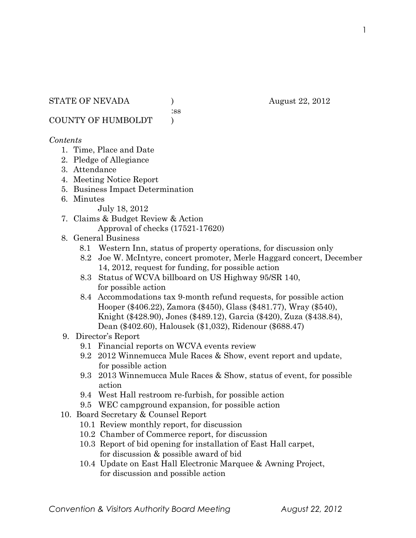:ss

COUNTY OF HUMBOLDT )

### *Contents*

- 1. Time, Place and Date
- 2. Pledge of Allegiance
- 3. Attendance
- 4. Meeting Notice Report
- 5. Business Impact Determination
- 6. Minutes

July 18, 2012

- 7. Claims & Budget Review & Action Approval of checks (17521-17620)
- 8. General Business
	- 8.1 Western Inn, status of property operations, for discussion only
	- 8.2 Joe W. McIntyre, concert promoter, Merle Haggard concert, December 14, 2012, request for funding, for possible action
	- 8.3 Status of WCVA billboard on US Highway 95/SR 140, for possible action
	- 8.4 Accommodations tax 9-month refund requests, for possible action Hooper (\$406.22), Zamora (\$450), Glass (\$481.77), Wray (\$540), Knight (\$428.90), Jones (\$489.12), Garcia (\$420), Zuza (\$438.84), Dean (\$402.60), Halousek (\$1,032), Ridenour (\$688.47)
- 9. Director's Report
	- 9.1 Financial reports on WCVA events review
	- 9.2 2012 Winnemucca Mule Races & Show, event report and update, for possible action
	- 9.3 2013 Winnemucca Mule Races & Show, status of event, for possible action
	- 9.4 West Hall restroom re-furbish, for possible action
	- 9.5 WEC campground expansion, for possible action
- 10. Board Secretary & Counsel Report
	- 10.1 Review monthly report, for discussion
	- 10.2 Chamber of Commerce report, for discussion
	- 10.3 Report of bid opening for installation of East Hall carpet, for discussion & possible award of bid
	- 10.4 Update on East Hall Electronic Marquee & Awning Project, for discussion and possible action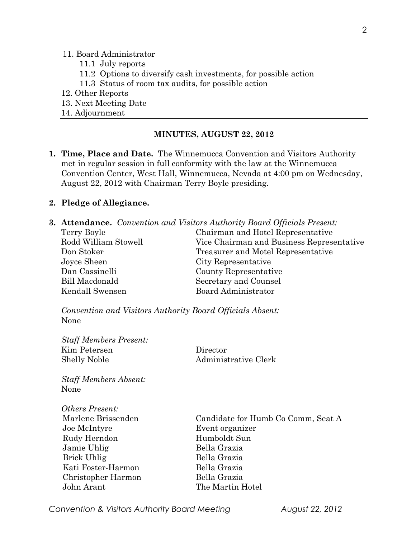#### 11. Board Administrator

- 11.1 July reports
- 11.2 Options to diversify cash investments, for possible action
- 11.3 Status of room tax audits, for possible action
- 12. Other Reports
- 13. Next Meeting Date
- 14. Adjournment

#### **MINUTES, AUGUST 22, 2012**

**1. Time, Place and Date.** The Winnemucca Convention and Visitors Authority met in regular session in full conformity with the law at the Winnemucca Convention Center, West Hall, Winnemucca, Nevada at 4:00 pm on Wednesday, August 22, 2012 with Chairman Terry Boyle presiding.

#### **2. Pledge of Allegiance.**

|                       | <b>3. Attendance.</b> Convention and Visitors Authority Board Officials Present: |
|-----------------------|----------------------------------------------------------------------------------|
| Terry Boyle           | Chairman and Hotel Representative                                                |
| Rodd William Stowell  | Vice Chairman and Business Representative                                        |
| Don Stoker            | Treasurer and Motel Representative                                               |
| Joyce Sheen           | City Representative                                                              |
| Dan Cassinelli        | County Representative                                                            |
| Bill Macdonald        | Secretary and Counsel                                                            |
| Kendall Swensen       | <b>Board Administrator</b>                                                       |
|                       |                                                                                  |
| $7.771$ $1.77$ $1.77$ |                                                                                  |

*Convention and Visitors Authority Board Officials Absent:* None

| <b>Staff Members Present:</b><br>Kim Petersen<br><b>Shelly Noble</b> | Director<br>Administrative Clerk   |
|----------------------------------------------------------------------|------------------------------------|
| <b>Staff Members Absent:</b><br>None                                 |                                    |
| Others Present:                                                      |                                    |
| Marlene Brissenden                                                   | Candidate for Humb Co Comm, Seat A |
| Joe McIntyre                                                         | Event organizer                    |
| Rudy Herndon                                                         | Humboldt Sun                       |
| Jamie Uhlig                                                          | Bella Grazia                       |
| <b>Brick Uhlig</b>                                                   | Bella Grazia                       |
| Kati Foster-Harmon                                                   | Bella Grazia                       |
| Christopher Harmon                                                   | Bella Grazia                       |
| John Arant                                                           | The Martin Hotel                   |

*Convention & Visitors Authority Board Meeting August 22, 2012*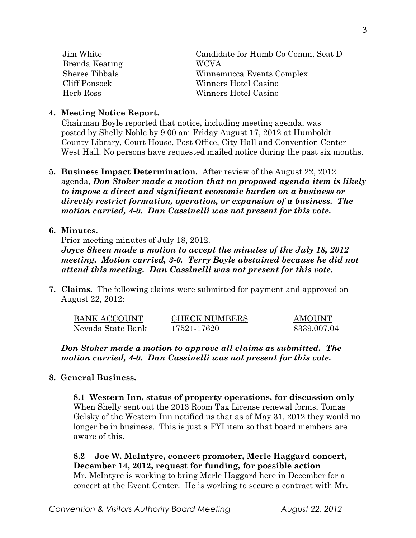| Jim White      | Candidate for Humb Co Comm, Seat D |
|----------------|------------------------------------|
| Brenda Keating | <b>WCVA</b>                        |
| Sheree Tibbals | Winnemucca Events Complex          |
| Cliff Ponsock  | Winners Hotel Casino               |
| Herb Ross      | Winners Hotel Casino               |

### **4. Meeting Notice Report.**

Chairman Boyle reported that notice, including meeting agenda, was posted by Shelly Noble by 9:00 am Friday August 17, 2012 at Humboldt County Library, Court House, Post Office, City Hall and Convention Center West Hall. No persons have requested mailed notice during the past six months.

**5. Business Impact Determination.** After review of the August 22, 2012 agenda, *Don Stoker made a motion that no proposed agenda item is likely to impose a direct and significant economic burden on a business or directly restrict formation, operation, or expansion of a business. The motion carried, 4-0. Dan Cassinelli was not present for this vote.*

## **6. Minutes.**

Prior meeting minutes of July 18, 2012.

*Joyce Sheen made a motion to accept the minutes of the July 18, 2012 meeting. Motion carried, 3-0. Terry Boyle abstained because he did not attend this meeting. Dan Cassinelli was not present for this vote.* 

**7. Claims.** The following claims were submitted for payment and approved on August 22, 2012:

| BANK ACCOUNT      | <b>CHECK NUMBERS</b> | AMOUNT       |
|-------------------|----------------------|--------------|
| Nevada State Bank | 17521-17620          | \$339,007.04 |

*Don Stoker made a motion to approve all claims as submitted. The motion carried, 4-0. Dan Cassinelli was not present for this vote.*

# **8. General Business.**

**8.1 Western Inn, status of property operations, for discussion only** When Shelly sent out the 2013 Room Tax License renewal forms, Tomas Gelsky of the Western Inn notified us that as of May 31, 2012 they would no longer be in business. This is just a FYI item so that board members are aware of this.

**8.2 Joe W. McIntyre, concert promoter, Merle Haggard concert, December 14, 2012, request for funding, for possible action**  Mr. McIntyre is working to bring Merle Haggard here in December for a concert at the Event Center. He is working to secure a contract with Mr.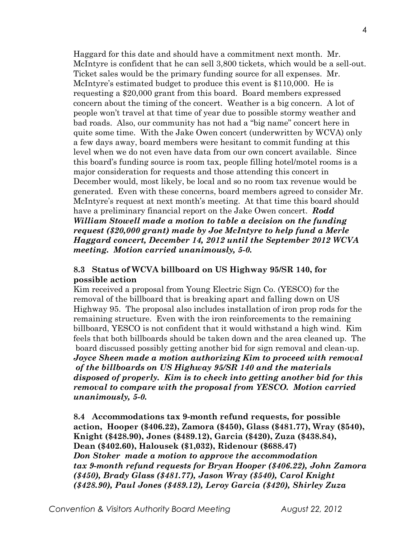Haggard for this date and should have a commitment next month. Mr. McIntyre is confident that he can sell 3,800 tickets, which would be a sell-out. Ticket sales would be the primary funding source for all expenses. Mr. McIntyre's estimated budget to produce this event is \$110,000. He is requesting a \$20,000 grant from this board. Board members expressed concern about the timing of the concert. Weather is a big concern. A lot of people won't travel at that time of year due to possible stormy weather and bad roads. Also, our community has not had a "big name" concert here in quite some time. With the Jake Owen concert (underwritten by WCVA) only a few days away, board members were hesitant to commit funding at this level when we do not even have data from our own concert available. Since this board's funding source is room tax, people filling hotel/motel rooms is a major consideration for requests and those attending this concert in December would, most likely, be local and so no room tax revenue would be generated. Even with these concerns, board members agreed to consider Mr. McIntyre's request at next month's meeting. At that time this board should have a preliminary financial report on the Jake Owen concert. *Rodd William Stowell made a motion to table a decision on the funding request (\$20,000 grant) made by Joe McIntyre to help fund a Merle Haggard concert, December 14, 2012 until the September 2012 WCVA meeting. Motion carried unanimously, 5-0.* 

#### **8.3 Status of WCVA billboard on US Highway 95/SR 140, for possible action**

Kim received a proposal from Young Electric Sign Co. (YESCO) for the removal of the billboard that is breaking apart and falling down on US Highway 95. The proposal also includes installation of iron prop rods for the remaining structure. Even with the iron reinforcements to the remaining billboard, YESCO is not confident that it would withstand a high wind. Kim feels that both billboards should be taken down and the area cleaned up. The board discussed possibly getting another bid for sign removal and clean-up. *Joyce Sheen made a motion authorizing Kim to proceed with removal of the billboards on US Highway 95/SR 140 and the materials disposed of properly. Kim is to check into getting another bid for this removal to compare with the proposal from YESCO. Motion carried unanimously, 5-0.* 

**8.4 Accommodations tax 9-month refund requests, for possible action, Hooper (\$406.22), Zamora (\$450), Glass (\$481.77), Wray (\$540), Knight (\$428.90), Jones (\$489.12), Garcia (\$420), Zuza (\$438.84), Dean (\$402.60), Halousek (\$1,032), Ridenour (\$688.47)** *Don Stoker made a motion to approve the accommodation tax 9-month refund requests for Bryan Hooper (\$406.22), John Zamora (\$450), Brady Glass (\$481.77), Jason Wray (\$540), Carol Knight (\$428.90), Paul Jones (\$489.12), Leroy Garcia (\$420), Shirley Zuza*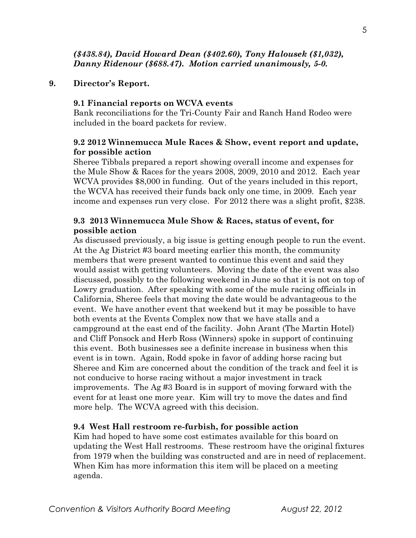## *(\$438.84), David Howard Dean (\$402.60), Tony Halousek (\$1,032), Danny Ridenour (\$688.47). Motion carried unanimously, 5-0.*

# **9. Director's Report.**

### **9.1 Financial reports on WCVA events**

Bank reconciliations for the Tri-County Fair and Ranch Hand Rodeo were included in the board packets for review.

# **9.2 2012 Winnemucca Mule Races & Show, event report and update, for possible action**

Sheree Tibbals prepared a report showing overall income and expenses for the Mule Show & Races for the years 2008, 2009, 2010 and 2012. Each year WCVA provides \$8,000 in funding. Out of the years included in this report, the WCVA has received their funds back only one time, in 2009. Each year income and expenses run very close. For 2012 there was a slight profit, \$238.

# **9.3 2013 Winnemucca Mule Show & Races, status of event, for possible action**

As discussed previously, a big issue is getting enough people to run the event. At the Ag District #3 board meeting earlier this month, the community members that were present wanted to continue this event and said they would assist with getting volunteers. Moving the date of the event was also discussed, possibly to the following weekend in June so that it is not on top of Lowry graduation. After speaking with some of the mule racing officials in California, Sheree feels that moving the date would be advantageous to the event. We have another event that weekend but it may be possible to have both events at the Events Complex now that we have stalls and a campground at the east end of the facility. John Arant (The Martin Hotel) and Cliff Ponsock and Herb Ross (Winners) spoke in support of continuing this event. Both businesses see a definite increase in business when this event is in town. Again, Rodd spoke in favor of adding horse racing but Sheree and Kim are concerned about the condition of the track and feel it is not conducive to horse racing without a major investment in track improvements. The Ag #3 Board is in support of moving forward with the event for at least one more year. Kim will try to move the dates and find more help. The WCVA agreed with this decision.

# **9.4 West Hall restroom re-furbish, for possible action**

Kim had hoped to have some cost estimates available for this board on updating the West Hall restrooms. These restroom have the original fixtures from 1979 when the building was constructed and are in need of replacement. When Kim has more information this item will be placed on a meeting agenda.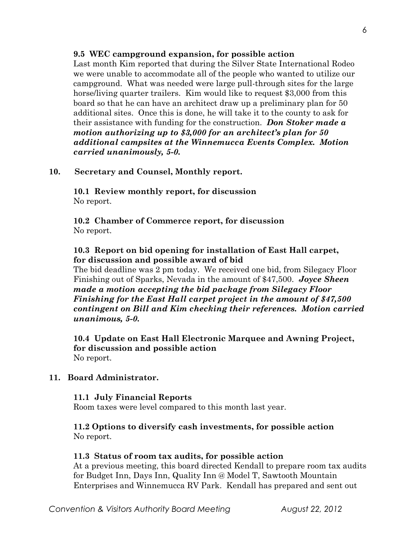#### **9.5 WEC campground expansion, for possible action**

Last month Kim reported that during the Silver State International Rodeo we were unable to accommodate all of the people who wanted to utilize our campground. What was needed were large pull-through sites for the large horse/living quarter trailers. Kim would like to request \$3,000 from this board so that he can have an architect draw up a preliminary plan for 50 additional sites. Once this is done, he will take it to the county to ask for their assistance with funding for the construction. *Don Stoker made a motion authorizing up to \$3,000 for an architect's plan for 50 additional campsites at the Winnemucca Events Complex. Motion carried unanimously, 5-0.*

### **10. Secretary and Counsel, Monthly report.**

**10.1 Review monthly report, for discussion** No report.

**10.2 Chamber of Commerce report, for discussion** No report.

# **10.3 Report on bid opening for installation of East Hall carpet, for discussion and possible award of bid**

The bid deadline was 2 pm today. We received one bid, from Silegacy Floor Finishing out of Sparks, Nevada in the amount of \$47,500. *Joyce Sheen made a motion accepting the bid package from Silegacy Floor Finishing for the East Hall carpet project in the amount of \$47,500 contingent on Bill and Kim checking their references. Motion carried unanimous, 5-0.* 

**10.4 Update on East Hall Electronic Marquee and Awning Project, for discussion and possible action** No report.

### **11. Board Administrator.**

#### **11.1 July Financial Reports**

Room taxes were level compared to this month last year.

### **11.2 Options to diversify cash investments, for possible action** No report.

#### **11.3 Status of room tax audits, for possible action**

At a previous meeting, this board directed Kendall to prepare room tax audits for Budget Inn, Days Inn, Quality Inn @ Model T, Sawtooth Mountain Enterprises and Winnemucca RV Park. Kendall has prepared and sent out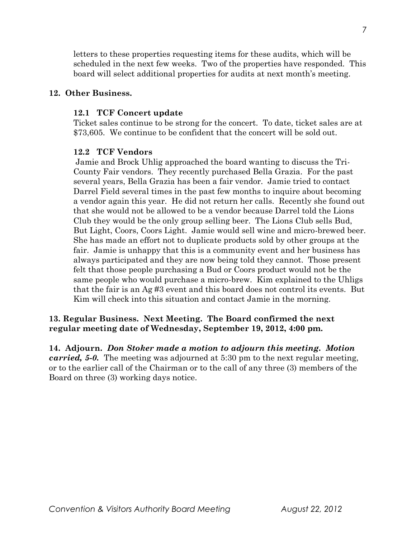letters to these properties requesting items for these audits, which will be scheduled in the next few weeks. Two of the properties have responded. This board will select additional properties for audits at next month's meeting.

### **12. Other Business.**

### **12.1 TCF Concert update**

Ticket sales continue to be strong for the concert. To date, ticket sales are at \$73,605. We continue to be confident that the concert will be sold out.

## **12.2 TCF Vendors**

Jamie and Brock Uhlig approached the board wanting to discuss the Tri-County Fair vendors. They recently purchased Bella Grazia. For the past several years, Bella Grazia has been a fair vendor. Jamie tried to contact Darrel Field several times in the past few months to inquire about becoming a vendor again this year. He did not return her calls. Recently she found out that she would not be allowed to be a vendor because Darrel told the Lions Club they would be the only group selling beer. The Lions Club sells Bud, But Light, Coors, Coors Light. Jamie would sell wine and micro-brewed beer. She has made an effort not to duplicate products sold by other groups at the fair. Jamie is unhappy that this is a community event and her business has always participated and they are now being told they cannot. Those present felt that those people purchasing a Bud or Coors product would not be the same people who would purchase a micro-brew. Kim explained to the Uhligs that the fair is an Ag #3 event and this board does not control its events. But Kim will check into this situation and contact Jamie in the morning.

# **13. Regular Business. Next Meeting. The Board confirmed the next regular meeting date of Wednesday, September 19, 2012, 4:00 pm.**

**14. Adjourn.** *Don Stoker made a motion to adjourn this meeting. Motion carried, 5-0.* The meeting was adjourned at 5:30 pm to the next regular meeting, or to the earlier call of the Chairman or to the call of any three (3) members of the Board on three (3) working days notice.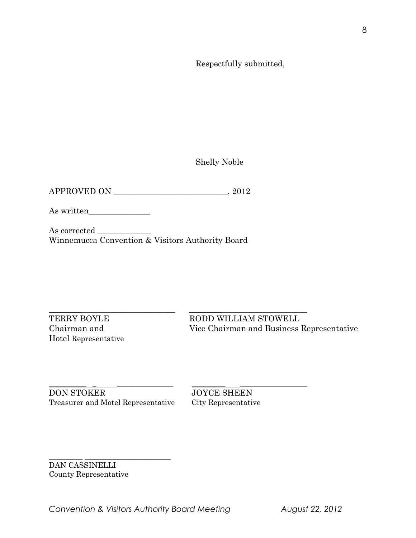Respectfully submitted,

Shelly Noble

| <b>APPROVED ON</b> | 2012 |
|--------------------|------|
|                    |      |

As written\_\_\_\_\_\_\_\_\_\_\_\_\_\_\_

As corrected \_ Winnemucca Convention & Visitors Authority Board

Hotel Representative

 $\_$  ,  $\_$  ,  $\_$  ,  $\_$  ,  $\_$  ,  $\_$  ,  $\_$  ,  $\_$  ,  $\_$  ,  $\_$  ,  $\_$  ,  $\_$  ,  $\_$  ,  $\_$  ,  $\_$  ,  $\_$  ,  $\_$  ,  $\_$  ,  $\_$  ,  $\_$  ,  $\_$  ,  $\_$  ,  $\_$  ,  $\_$  ,  $\_$  ,  $\_$  ,  $\_$  ,  $\_$  ,  $\_$  ,  $\_$  ,  $\_$  ,  $\_$  ,  $\_$  ,  $\_$  ,  $\_$  ,  $\_$  ,  $\_$  , TERRY BOYLE RODD WILLIAM STOWELL Chairman and Vice Chairman and Business Representative

\_\_\_\_\_\_\_\_\_\_ \_ \_\_\_\_\_\_\_\_\_\_\_\_\_\_\_ \_\_\_\_\_\_\_\_\_ \_\_\_\_\_\_\_\_\_\_\_\_\_\_\_\_\_\_ **DON STOKER** JOYCE SHEEN Treasurer and Motel Representative City Representative

\_\_\_\_\_\_\_\_\_ \_\_\_\_\_\_\_\_\_\_\_\_\_\_\_\_\_\_\_\_\_\_\_

DAN CASSINELLI County Representative

*Convention & Visitors Authority Board Meeting August 22, 2012*